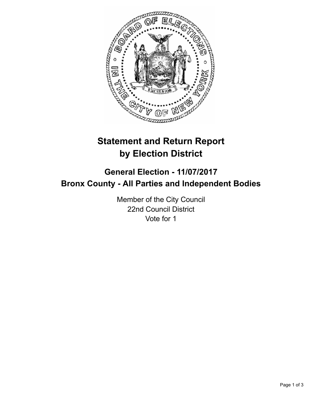

# **Statement and Return Report by Election District**

# **General Election - 11/07/2017 Bronx County - All Parties and Independent Bodies**

Member of the City Council 22nd Council District Vote for 1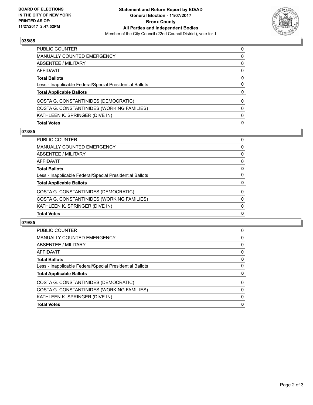

## **035/85**

| <b>PUBLIC COUNTER</b>                                    | $\Omega$ |
|----------------------------------------------------------|----------|
| <b>MANUALLY COUNTED EMERGENCY</b>                        | 0        |
| ABSENTEE / MILITARY                                      | 0        |
| AFFIDAVIT                                                | 0        |
| <b>Total Ballots</b>                                     | 0        |
| Less - Inapplicable Federal/Special Presidential Ballots | 0        |
| <b>Total Applicable Ballots</b>                          | 0        |
| COSTA G. CONSTANTINIDES (DEMOCRATIC)                     | 0        |
| COSTA G. CONSTANTINIDES (WORKING FAMILIES)               | 0        |
| KATHLEEN K. SPRINGER (DIVE IN)                           | 0        |
| <b>Total Votes</b>                                       | 0        |

### **073/85**

| <b>Total Votes</b>                                       | $\mathbf{0}$ |
|----------------------------------------------------------|--------------|
| KATHLEEN K. SPRINGER (DIVE IN)                           | 0            |
| COSTA G. CONSTANTINIDES (WORKING FAMILIES)               | $\Omega$     |
| COSTA G. CONSTANTINIDES (DEMOCRATIC)                     | $\Omega$     |
| <b>Total Applicable Ballots</b>                          | 0            |
| Less - Inapplicable Federal/Special Presidential Ballots | 0            |
| <b>Total Ballots</b>                                     | 0            |
| <b>AFFIDAVIT</b>                                         | 0            |
| <b>ABSENTEE / MILITARY</b>                               | 0            |
| <b>MANUALLY COUNTED EMERGENCY</b>                        | 0            |
| <b>PUBLIC COUNTER</b>                                    | 0            |

### **079/85**

| <b>PUBLIC COUNTER</b>                                    | 0 |
|----------------------------------------------------------|---|
| <b>MANUALLY COUNTED EMERGENCY</b>                        | 0 |
| ABSENTEE / MILITARY                                      | 0 |
| AFFIDAVIT                                                | 0 |
| <b>Total Ballots</b>                                     | 0 |
| Less - Inapplicable Federal/Special Presidential Ballots | 0 |
| <b>Total Applicable Ballots</b>                          | 0 |
| COSTA G. CONSTANTINIDES (DEMOCRATIC)                     | 0 |
| COSTA G. CONSTANTINIDES (WORKING FAMILIES)               | 0 |
| KATHLEEN K. SPRINGER (DIVE IN)                           | 0 |
| <b>Total Votes</b>                                       | 0 |
|                                                          |   |